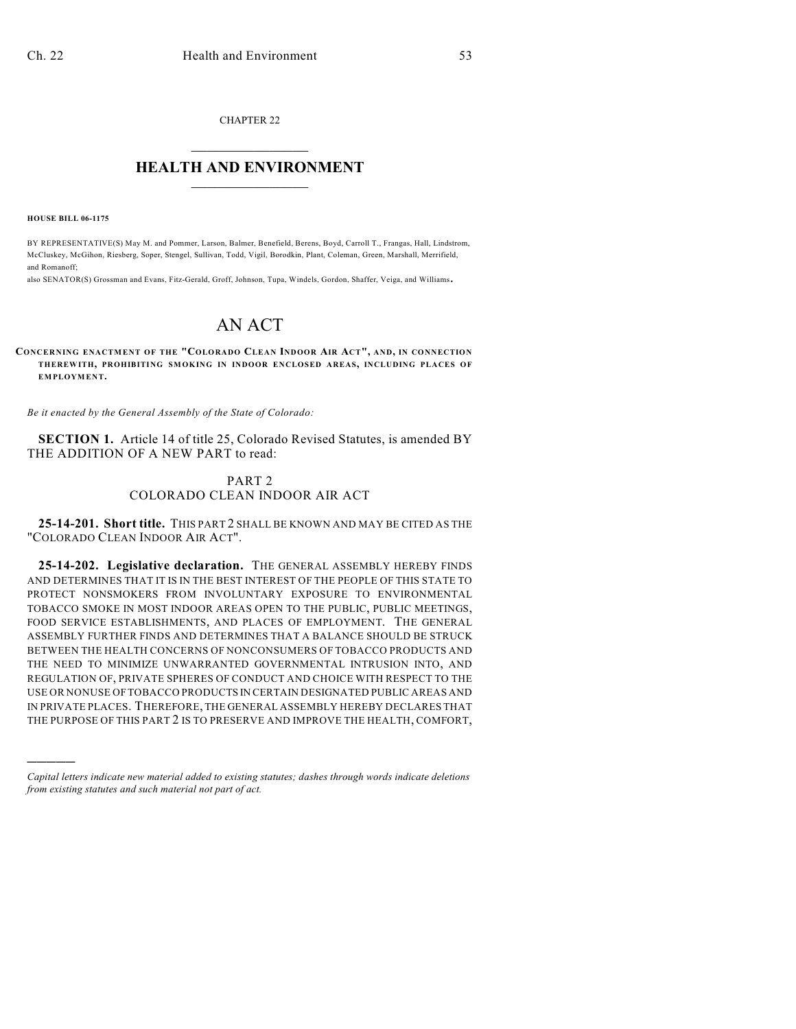CHAPTER 22

# $\mathcal{L}_\text{max}$  . The set of the set of the set of the set of the set of the set of the set of the set of the set of the set of the set of the set of the set of the set of the set of the set of the set of the set of the set **HEALTH AND ENVIRONMENT**  $\_$

**HOUSE BILL 06-1175**

)))))

BY REPRESENTATIVE(S) May M. and Pommer, Larson, Balmer, Benefield, Berens, Boyd, Carroll T., Frangas, Hall, Lindstrom, McCluskey, McGihon, Riesberg, Soper, Stengel, Sullivan, Todd, Vigil, Borodkin, Plant, Coleman, Green, Marshall, Merrifield, and Romanoff;

also SENATOR(S) Grossman and Evans, Fitz-Gerald, Groff, Johnson, Tupa, Windels, Gordon, Shaffer, Veiga, and Williams.

# AN ACT

### **CONCERNING ENACTMENT OF THE "COLORADO CLEAN INDOOR AIR ACT", AND, IN CONNECTION THEREWITH, PROHIBITING SM OKING IN INDOOR ENCLOSED AREAS, INCLUDING PLACES OF EMPLOYMENT.**

*Be it enacted by the General Assembly of the State of Colorado:*

**SECTION 1.** Article 14 of title 25, Colorado Revised Statutes, is amended BY THE ADDITION OF A NEW PART to read:

## PART 2 COLORADO CLEAN INDOOR AIR ACT

**25-14-201. Short title.** THIS PART 2 SHALL BE KNOWN AND MAY BE CITED AS THE "COLORADO CLEAN INDOOR AIR ACT".

**25-14-202. Legislative declaration.** THE GENERAL ASSEMBLY HEREBY FINDS AND DETERMINES THAT IT IS IN THE BEST INTEREST OF THE PEOPLE OF THIS STATE TO PROTECT NONSMOKERS FROM INVOLUNTARY EXPOSURE TO ENVIRONMENTAL TOBACCO SMOKE IN MOST INDOOR AREAS OPEN TO THE PUBLIC, PUBLIC MEETINGS, FOOD SERVICE ESTABLISHMENTS, AND PLACES OF EMPLOYMENT. THE GENERAL ASSEMBLY FURTHER FINDS AND DETERMINES THAT A BALANCE SHOULD BE STRUCK BETWEEN THE HEALTH CONCERNS OF NONCONSUMERS OF TOBACCO PRODUCTS AND THE NEED TO MINIMIZE UNWARRANTED GOVERNMENTAL INTRUSION INTO, AND REGULATION OF, PRIVATE SPHERES OF CONDUCT AND CHOICE WITH RESPECT TO THE USE OR NONUSE OF TOBACCO PRODUCTS IN CERTAIN DESIGNATED PUBLIC AREAS AND IN PRIVATE PLACES. THEREFORE, THE GENERAL ASSEMBLY HEREBY DECLARES THAT THE PURPOSE OF THIS PART 2 IS TO PRESERVE AND IMPROVE THE HEALTH, COMFORT,

*Capital letters indicate new material added to existing statutes; dashes through words indicate deletions from existing statutes and such material not part of act.*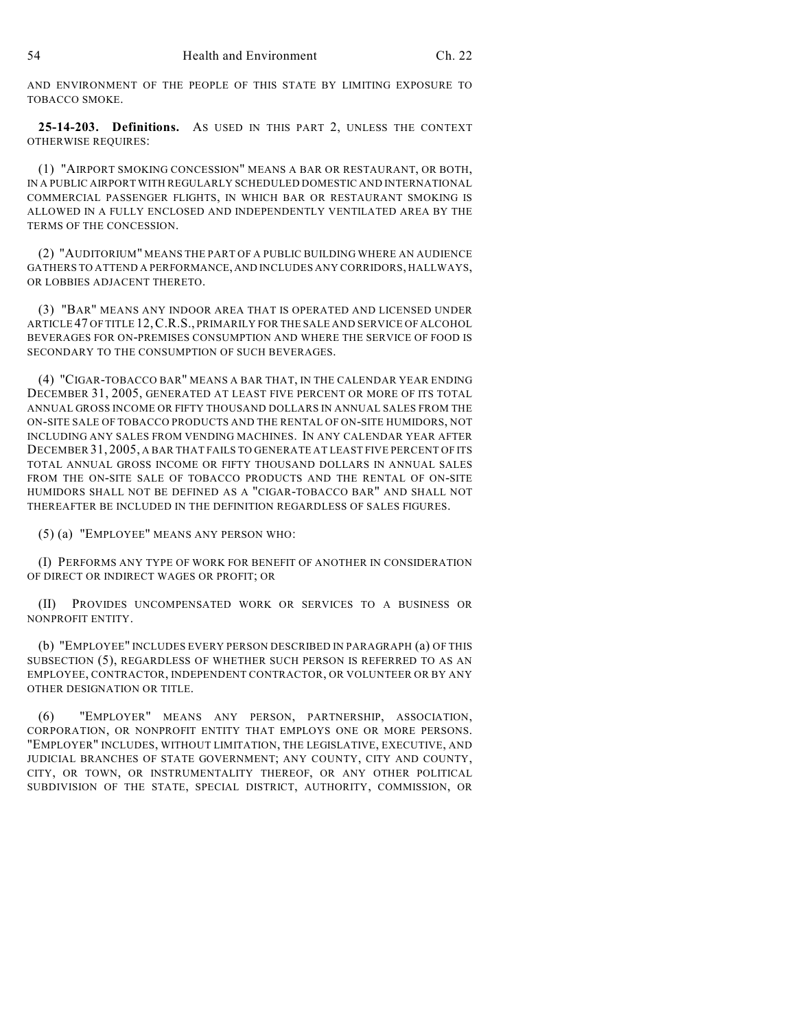AND ENVIRONMENT OF THE PEOPLE OF THIS STATE BY LIMITING EXPOSURE TO TOBACCO SMOKE.

**25-14-203. Definitions.** AS USED IN THIS PART 2, UNLESS THE CONTEXT OTHERWISE REQUIRES:

(1) "AIRPORT SMOKING CONCESSION" MEANS A BAR OR RESTAURANT, OR BOTH, IN A PUBLIC AIRPORT WITH REGULARLY SCHEDULED DOMESTIC AND INTERNATIONAL COMMERCIAL PASSENGER FLIGHTS, IN WHICH BAR OR RESTAURANT SMOKING IS ALLOWED IN A FULLY ENCLOSED AND INDEPENDENTLY VENTILATED AREA BY THE TERMS OF THE CONCESSION.

(2) "AUDITORIUM" MEANS THE PART OF A PUBLIC BUILDING WHERE AN AUDIENCE GATHERS TO ATTEND A PERFORMANCE, AND INCLUDES ANY CORRIDORS, HALLWAYS, OR LOBBIES ADJACENT THERETO.

(3) "BAR" MEANS ANY INDOOR AREA THAT IS OPERATED AND LICENSED UNDER ARTICLE 47 OF TITLE 12,C.R.S., PRIMARILY FOR THE SALE AND SERVICE OF ALCOHOL BEVERAGES FOR ON-PREMISES CONSUMPTION AND WHERE THE SERVICE OF FOOD IS SECONDARY TO THE CONSUMPTION OF SUCH BEVERAGES.

(4) "CIGAR-TOBACCO BAR" MEANS A BAR THAT, IN THE CALENDAR YEAR ENDING DECEMBER 31, 2005, GENERATED AT LEAST FIVE PERCENT OR MORE OF ITS TOTAL ANNUAL GROSS INCOME OR FIFTY THOUSAND DOLLARS IN ANNUAL SALES FROM THE ON-SITE SALE OF TOBACCO PRODUCTS AND THE RENTAL OF ON-SITE HUMIDORS, NOT INCLUDING ANY SALES FROM VENDING MACHINES. IN ANY CALENDAR YEAR AFTER DECEMBER 31, 2005, A BAR THAT FAILS TO GENERATE AT LEAST FIVE PERCENT OF ITS TOTAL ANNUAL GROSS INCOME OR FIFTY THOUSAND DOLLARS IN ANNUAL SALES FROM THE ON-SITE SALE OF TOBACCO PRODUCTS AND THE RENTAL OF ON-SITE HUMIDORS SHALL NOT BE DEFINED AS A "CIGAR-TOBACCO BAR" AND SHALL NOT THEREAFTER BE INCLUDED IN THE DEFINITION REGARDLESS OF SALES FIGURES.

(5) (a) "EMPLOYEE" MEANS ANY PERSON WHO:

(I) PERFORMS ANY TYPE OF WORK FOR BENEFIT OF ANOTHER IN CONSIDERATION OF DIRECT OR INDIRECT WAGES OR PROFIT; OR

(II) PROVIDES UNCOMPENSATED WORK OR SERVICES TO A BUSINESS OR NONPROFIT ENTITY.

(b) "EMPLOYEE" INCLUDES EVERY PERSON DESCRIBED IN PARAGRAPH (a) OF THIS SUBSECTION (5), REGARDLESS OF WHETHER SUCH PERSON IS REFERRED TO AS AN EMPLOYEE, CONTRACTOR, INDEPENDENT CONTRACTOR, OR VOLUNTEER OR BY ANY OTHER DESIGNATION OR TITLE.

(6) "EMPLOYER" MEANS ANY PERSON, PARTNERSHIP, ASSOCIATION, CORPORATION, OR NONPROFIT ENTITY THAT EMPLOYS ONE OR MORE PERSONS. "EMPLOYER" INCLUDES, WITHOUT LIMITATION, THE LEGISLATIVE, EXECUTIVE, AND JUDICIAL BRANCHES OF STATE GOVERNMENT; ANY COUNTY, CITY AND COUNTY, CITY, OR TOWN, OR INSTRUMENTALITY THEREOF, OR ANY OTHER POLITICAL SUBDIVISION OF THE STATE, SPECIAL DISTRICT, AUTHORITY, COMMISSION, OR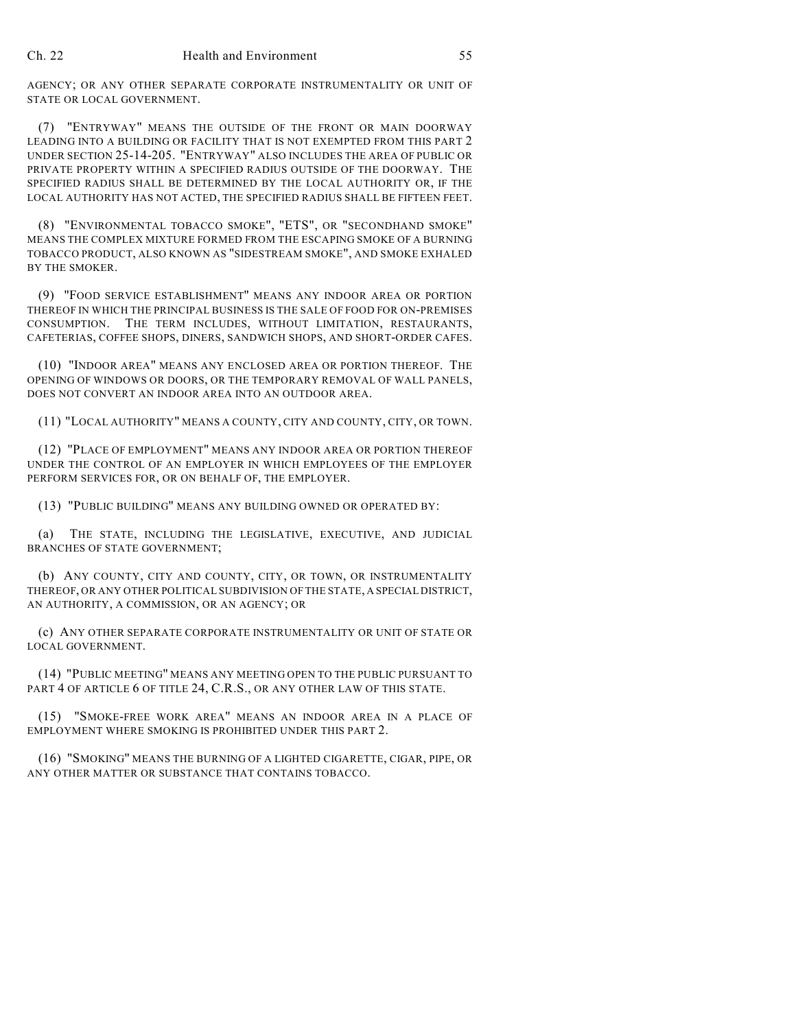AGENCY; OR ANY OTHER SEPARATE CORPORATE INSTRUMENTALITY OR UNIT OF STATE OR LOCAL GOVERNMENT.

(7) "ENTRYWAY" MEANS THE OUTSIDE OF THE FRONT OR MAIN DOORWAY LEADING INTO A BUILDING OR FACILITY THAT IS NOT EXEMPTED FROM THIS PART 2 UNDER SECTION 25-14-205. "ENTRYWAY" ALSO INCLUDES THE AREA OF PUBLIC OR PRIVATE PROPERTY WITHIN A SPECIFIED RADIUS OUTSIDE OF THE DOORWAY. THE SPECIFIED RADIUS SHALL BE DETERMINED BY THE LOCAL AUTHORITY OR, IF THE LOCAL AUTHORITY HAS NOT ACTED, THE SPECIFIED RADIUS SHALL BE FIFTEEN FEET.

(8) "ENVIRONMENTAL TOBACCO SMOKE", "ETS", OR "SECONDHAND SMOKE" MEANS THE COMPLEX MIXTURE FORMED FROM THE ESCAPING SMOKE OF A BURNING TOBACCO PRODUCT, ALSO KNOWN AS "SIDESTREAM SMOKE", AND SMOKE EXHALED BY THE SMOKER.

(9) "FOOD SERVICE ESTABLISHMENT" MEANS ANY INDOOR AREA OR PORTION THEREOF IN WHICH THE PRINCIPAL BUSINESS IS THE SALE OF FOOD FOR ON-PREMISES CONSUMPTION. THE TERM INCLUDES, WITHOUT LIMITATION, RESTAURANTS, CAFETERIAS, COFFEE SHOPS, DINERS, SANDWICH SHOPS, AND SHORT-ORDER CAFES.

(10) "INDOOR AREA" MEANS ANY ENCLOSED AREA OR PORTION THEREOF. THE OPENING OF WINDOWS OR DOORS, OR THE TEMPORARY REMOVAL OF WALL PANELS, DOES NOT CONVERT AN INDOOR AREA INTO AN OUTDOOR AREA.

(11) "LOCAL AUTHORITY" MEANS A COUNTY, CITY AND COUNTY, CITY, OR TOWN.

(12) "PLACE OF EMPLOYMENT" MEANS ANY INDOOR AREA OR PORTION THEREOF UNDER THE CONTROL OF AN EMPLOYER IN WHICH EMPLOYEES OF THE EMPLOYER PERFORM SERVICES FOR, OR ON BEHALF OF, THE EMPLOYER.

(13) "PUBLIC BUILDING" MEANS ANY BUILDING OWNED OR OPERATED BY:

(a) THE STATE, INCLUDING THE LEGISLATIVE, EXECUTIVE, AND JUDICIAL BRANCHES OF STATE GOVERNMENT;

(b) ANY COUNTY, CITY AND COUNTY, CITY, OR TOWN, OR INSTRUMENTALITY THEREOF, OR ANY OTHER POLITICAL SUBDIVISION OF THE STATE, A SPECIAL DISTRICT, AN AUTHORITY, A COMMISSION, OR AN AGENCY; OR

(c) ANY OTHER SEPARATE CORPORATE INSTRUMENTALITY OR UNIT OF STATE OR LOCAL GOVERNMENT.

(14) "PUBLIC MEETING" MEANS ANY MEETING OPEN TO THE PUBLIC PURSUANT TO PART 4 OF ARTICLE 6 OF TITLE 24, C.R.S., OR ANY OTHER LAW OF THIS STATE.

(15) "SMOKE-FREE WORK AREA" MEANS AN INDOOR AREA IN A PLACE OF EMPLOYMENT WHERE SMOKING IS PROHIBITED UNDER THIS PART 2.

(16) "SMOKING" MEANS THE BURNING OF A LIGHTED CIGARETTE, CIGAR, PIPE, OR ANY OTHER MATTER OR SUBSTANCE THAT CONTAINS TOBACCO.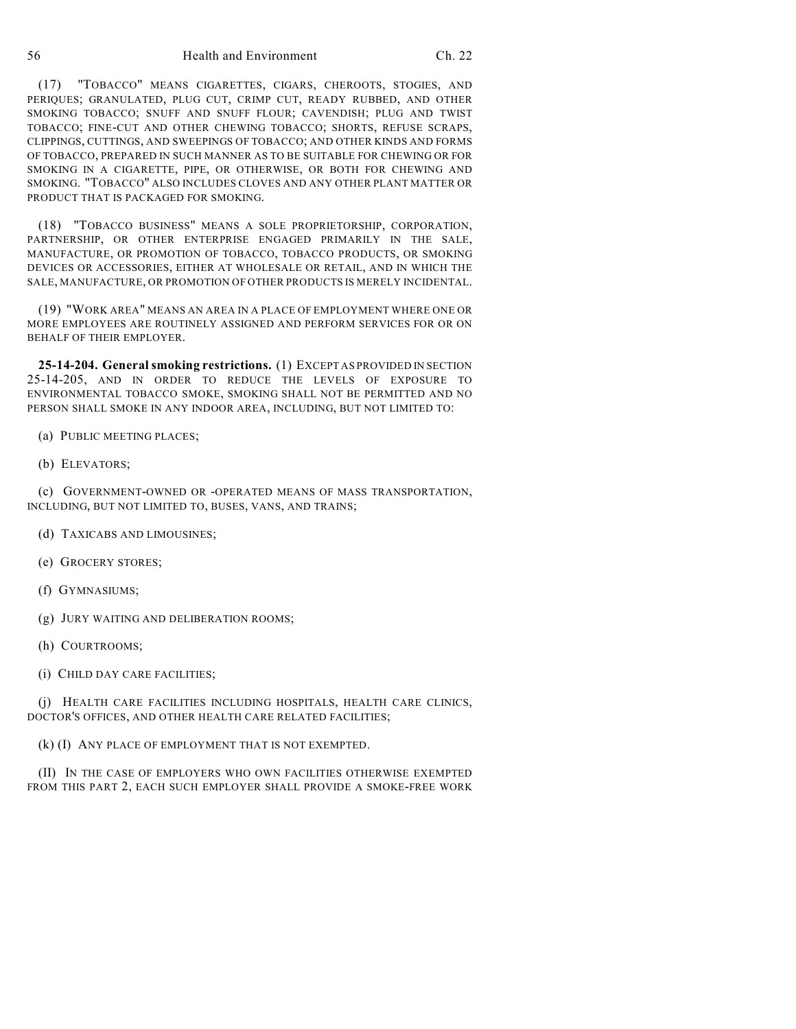(17) "TOBACCO" MEANS CIGARETTES, CIGARS, CHEROOTS, STOGIES, AND PERIQUES; GRANULATED, PLUG CUT, CRIMP CUT, READY RUBBED, AND OTHER SMOKING TOBACCO; SNUFF AND SNUFF FLOUR; CAVENDISH; PLUG AND TWIST TOBACCO; FINE-CUT AND OTHER CHEWING TOBACCO; SHORTS, REFUSE SCRAPS, CLIPPINGS, CUTTINGS, AND SWEEPINGS OF TOBACCO; AND OTHER KINDS AND FORMS OF TOBACCO, PREPARED IN SUCH MANNER AS TO BE SUITABLE FOR CHEWING OR FOR SMOKING IN A CIGARETTE, PIPE, OR OTHERWISE, OR BOTH FOR CHEWING AND SMOKING. "TOBACCO" ALSO INCLUDES CLOVES AND ANY OTHER PLANT MATTER OR PRODUCT THAT IS PACKAGED FOR SMOKING.

(18) "TOBACCO BUSINESS" MEANS A SOLE PROPRIETORSHIP, CORPORATION, PARTNERSHIP, OR OTHER ENTERPRISE ENGAGED PRIMARILY IN THE SALE, MANUFACTURE, OR PROMOTION OF TOBACCO, TOBACCO PRODUCTS, OR SMOKING DEVICES OR ACCESSORIES, EITHER AT WHOLESALE OR RETAIL, AND IN WHICH THE SALE, MANUFACTURE, OR PROMOTION OF OTHER PRODUCTS IS MERELY INCIDENTAL.

(19) "WORK AREA" MEANS AN AREA IN A PLACE OF EMPLOYMENT WHERE ONE OR MORE EMPLOYEES ARE ROUTINELY ASSIGNED AND PERFORM SERVICES FOR OR ON BEHALF OF THEIR EMPLOYER.

**25-14-204. General smoking restrictions.** (1) EXCEPT AS PROVIDED IN SECTION 25-14-205, AND IN ORDER TO REDUCE THE LEVELS OF EXPOSURE TO ENVIRONMENTAL TOBACCO SMOKE, SMOKING SHALL NOT BE PERMITTED AND NO PERSON SHALL SMOKE IN ANY INDOOR AREA, INCLUDING, BUT NOT LIMITED TO:

- (a) PUBLIC MEETING PLACES;
- (b) ELEVATORS;

(c) GOVERNMENT-OWNED OR -OPERATED MEANS OF MASS TRANSPORTATION, INCLUDING, BUT NOT LIMITED TO, BUSES, VANS, AND TRAINS;

- (d) TAXICABS AND LIMOUSINES;
- (e) GROCERY STORES;
- (f) GYMNASIUMS;
- (g) JURY WAITING AND DELIBERATION ROOMS;
- (h) COURTROOMS;
- (i) CHILD DAY CARE FACILITIES;

(j) HEALTH CARE FACILITIES INCLUDING HOSPITALS, HEALTH CARE CLINICS, DOCTOR'S OFFICES, AND OTHER HEALTH CARE RELATED FACILITIES;

### (k) (I) ANY PLACE OF EMPLOYMENT THAT IS NOT EXEMPTED.

(II) IN THE CASE OF EMPLOYERS WHO OWN FACILITIES OTHERWISE EXEMPTED FROM THIS PART 2, EACH SUCH EMPLOYER SHALL PROVIDE A SMOKE-FREE WORK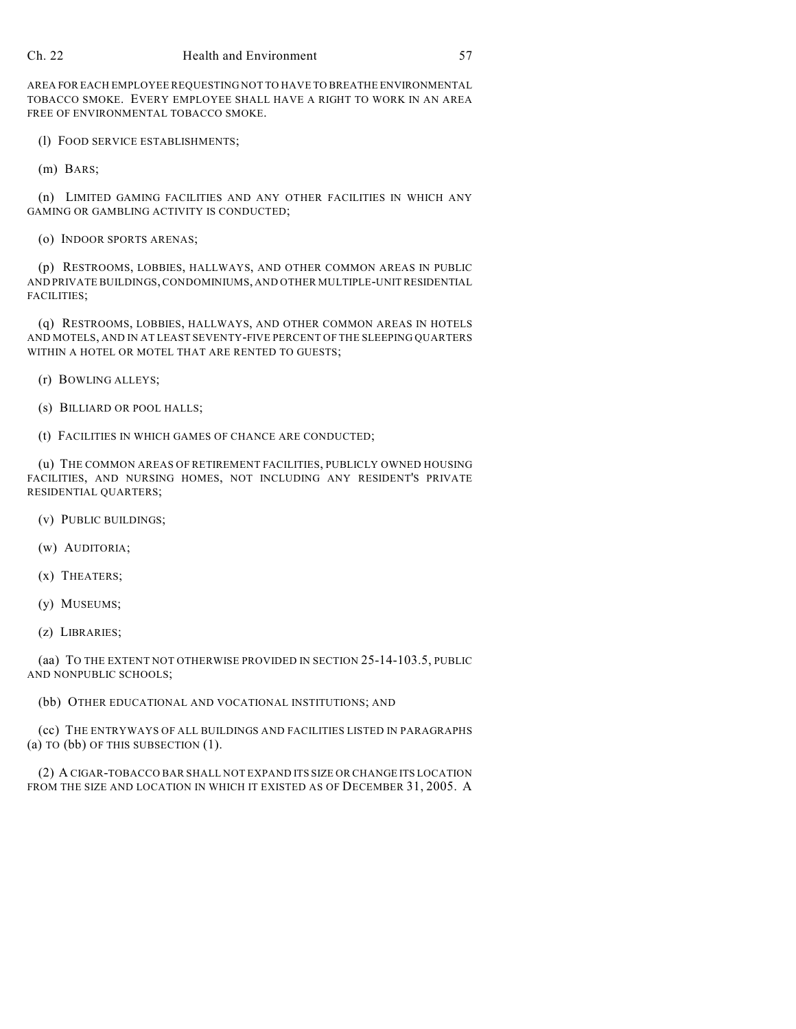## Ch. 22 Health and Environment 57

AREA FOR EACH EMPLOYEE REQUESTING NOT TO HAVE TO BREATHE ENVIRONMENTAL TOBACCO SMOKE. EVERY EMPLOYEE SHALL HAVE A RIGHT TO WORK IN AN AREA FREE OF ENVIRONMENTAL TOBACCO SMOKE.

(l) FOOD SERVICE ESTABLISHMENTS;

(m) BARS;

(n) LIMITED GAMING FACILITIES AND ANY OTHER FACILITIES IN WHICH ANY GAMING OR GAMBLING ACTIVITY IS CONDUCTED;

(o) INDOOR SPORTS ARENAS;

(p) RESTROOMS, LOBBIES, HALLWAYS, AND OTHER COMMON AREAS IN PUBLIC AND PRIVATE BUILDINGS, CONDOMINIUMS, AND OTHER MULTIPLE-UNIT RESIDENTIAL FACILITIES;

(q) RESTROOMS, LOBBIES, HALLWAYS, AND OTHER COMMON AREAS IN HOTELS AND MOTELS, AND IN AT LEAST SEVENTY-FIVE PERCENT OF THE SLEEPING QUARTERS WITHIN A HOTEL OR MOTEL THAT ARE RENTED TO GUESTS;

(r) BOWLING ALLEYS;

(s) BILLIARD OR POOL HALLS;

(t) FACILITIES IN WHICH GAMES OF CHANCE ARE CONDUCTED;

(u) THE COMMON AREAS OF RETIREMENT FACILITIES, PUBLICLY OWNED HOUSING FACILITIES, AND NURSING HOMES, NOT INCLUDING ANY RESIDENT'S PRIVATE RESIDENTIAL QUARTERS;

(v) PUBLIC BUILDINGS;

(w) AUDITORIA;

(x) THEATERS;

(y) MUSEUMS;

(z) LIBRARIES;

(aa) TO THE EXTENT NOT OTHERWISE PROVIDED IN SECTION 25-14-103.5, PUBLIC AND NONPUBLIC SCHOOLS;

(bb) OTHER EDUCATIONAL AND VOCATIONAL INSTITUTIONS; AND

(cc) THE ENTRYWAYS OF ALL BUILDINGS AND FACILITIES LISTED IN PARAGRAPHS (a) TO (bb) OF THIS SUBSECTION (1).

(2) A CIGAR-TOBACCO BAR SHALL NOT EXPAND ITS SIZE OR CHANGE ITS LOCATION FROM THE SIZE AND LOCATION IN WHICH IT EXISTED AS OF DECEMBER 31, 2005. A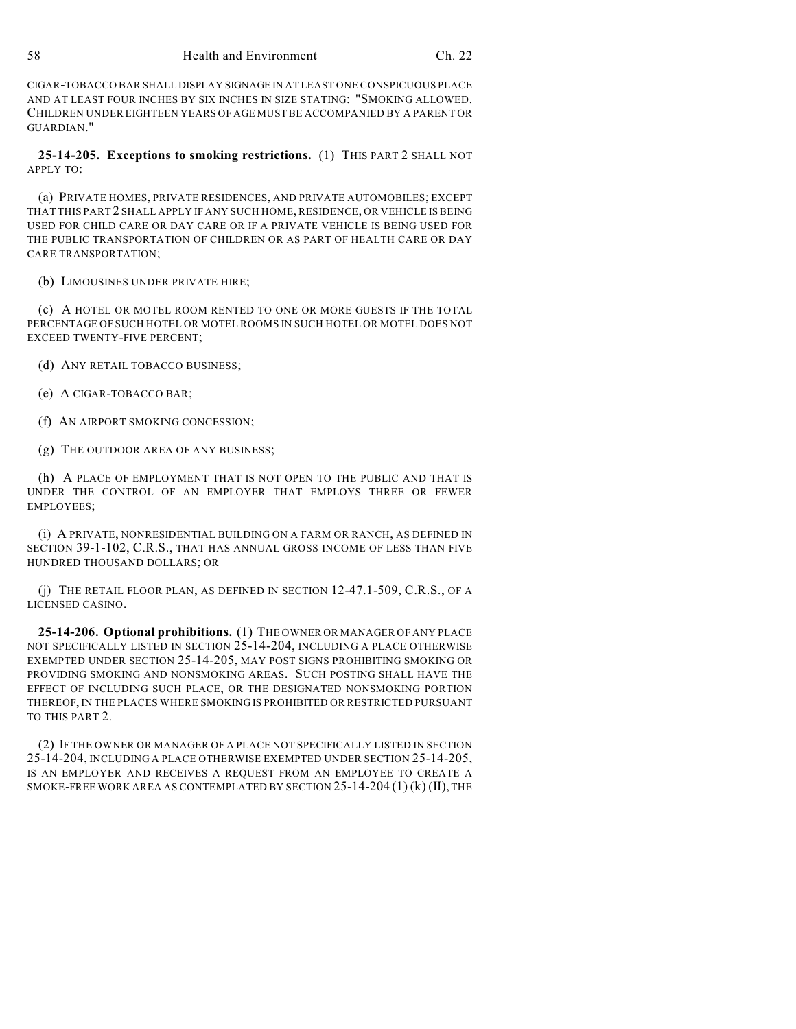CIGAR-TOBACCO BAR SHALL DISPLAY SIGNAGE IN AT LEAST ONE CONSPICUOUS PLACE AND AT LEAST FOUR INCHES BY SIX INCHES IN SIZE STATING: "SMOKING ALLOWED. CHILDREN UNDER EIGHTEEN YEARS OF AGE MUST BE ACCOMPANIED BY A PARENT OR GUARDIAN."

**25-14-205. Exceptions to smoking restrictions.** (1) THIS PART 2 SHALL NOT APPLY TO:

(a) PRIVATE HOMES, PRIVATE RESIDENCES, AND PRIVATE AUTOMOBILES; EXCEPT THAT THIS PART 2 SHALL APPLY IF ANY SUCH HOME, RESIDENCE, OR VEHICLE IS BEING USED FOR CHILD CARE OR DAY CARE OR IF A PRIVATE VEHICLE IS BEING USED FOR THE PUBLIC TRANSPORTATION OF CHILDREN OR AS PART OF HEALTH CARE OR DAY CARE TRANSPORTATION;

(b) LIMOUSINES UNDER PRIVATE HIRE;

(c) A HOTEL OR MOTEL ROOM RENTED TO ONE OR MORE GUESTS IF THE TOTAL PERCENTAGE OF SUCH HOTEL OR MOTEL ROOMS IN SUCH HOTEL OR MOTEL DOES NOT EXCEED TWENTY-FIVE PERCENT;

(d) ANY RETAIL TOBACCO BUSINESS;

(e) A CIGAR-TOBACCO BAR;

(f) AN AIRPORT SMOKING CONCESSION;

(g) THE OUTDOOR AREA OF ANY BUSINESS;

(h) A PLACE OF EMPLOYMENT THAT IS NOT OPEN TO THE PUBLIC AND THAT IS UNDER THE CONTROL OF AN EMPLOYER THAT EMPLOYS THREE OR FEWER EMPLOYEES;

(i) A PRIVATE, NONRESIDENTIAL BUILDING ON A FARM OR RANCH, AS DEFINED IN SECTION 39-1-102, C.R.S., THAT HAS ANNUAL GROSS INCOME OF LESS THAN FIVE HUNDRED THOUSAND DOLLARS; OR

(j) THE RETAIL FLOOR PLAN, AS DEFINED IN SECTION 12-47.1-509, C.R.S., OF A LICENSED CASINO.

**25-14-206. Optional prohibitions.** (1) THE OWNER OR MANAGER OF ANY PLACE NOT SPECIFICALLY LISTED IN SECTION 25-14-204, INCLUDING A PLACE OTHERWISE EXEMPTED UNDER SECTION 25-14-205, MAY POST SIGNS PROHIBITING SMOKING OR PROVIDING SMOKING AND NONSMOKING AREAS. SUCH POSTING SHALL HAVE THE EFFECT OF INCLUDING SUCH PLACE, OR THE DESIGNATED NONSMOKING PORTION THEREOF, IN THE PLACES WHERE SMOKING IS PROHIBITED OR RESTRICTED PURSUANT TO THIS PART 2.

(2) IF THE OWNER OR MANAGER OF A PLACE NOT SPECIFICALLY LISTED IN SECTION 25-14-204, INCLUDING A PLACE OTHERWISE EXEMPTED UNDER SECTION 25-14-205, IS AN EMPLOYER AND RECEIVES A REQUEST FROM AN EMPLOYEE TO CREATE A SMOKE-FREE WORK AREA AS CONTEMPLATED BY SECTION 25-14-204 (1) (k) (II), THE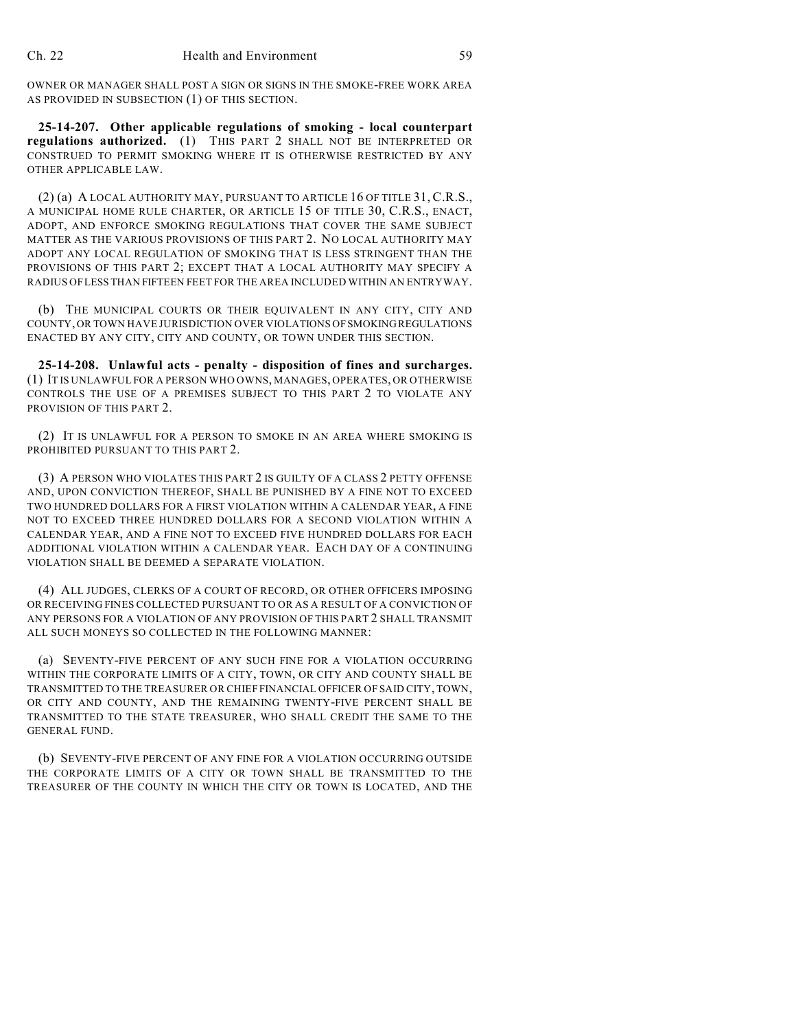OWNER OR MANAGER SHALL POST A SIGN OR SIGNS IN THE SMOKE-FREE WORK AREA AS PROVIDED IN SUBSECTION (1) OF THIS SECTION.

**25-14-207. Other applicable regulations of smoking - local counterpart regulations authorized.** (1) THIS PART 2 SHALL NOT BE INTERPRETED OR CONSTRUED TO PERMIT SMOKING WHERE IT IS OTHERWISE RESTRICTED BY ANY OTHER APPLICABLE LAW.

(2) (a) A LOCAL AUTHORITY MAY, PURSUANT TO ARTICLE 16 OF TITLE 31, C.R.S., A MUNICIPAL HOME RULE CHARTER, OR ARTICLE 15 OF TITLE 30, C.R.S., ENACT, ADOPT, AND ENFORCE SMOKING REGULATIONS THAT COVER THE SAME SUBJECT MATTER AS THE VARIOUS PROVISIONS OF THIS PART 2. NO LOCAL AUTHORITY MAY ADOPT ANY LOCAL REGULATION OF SMOKING THAT IS LESS STRINGENT THAN THE PROVISIONS OF THIS PART 2; EXCEPT THAT A LOCAL AUTHORITY MAY SPECIFY A RADIUS OF LESS THAN FIFTEEN FEET FOR THE AREA INCLUDED WITHIN AN ENTRYWAY.

(b) THE MUNICIPAL COURTS OR THEIR EQUIVALENT IN ANY CITY, CITY AND COUNTY, OR TOWN HAVE JURISDICTION OVER VIOLATIONS OF SMOKING REGULATIONS ENACTED BY ANY CITY, CITY AND COUNTY, OR TOWN UNDER THIS SECTION.

**25-14-208. Unlawful acts - penalty - disposition of fines and surcharges.** (1) IT IS UNLAWFUL FOR A PERSON WHO OWNS, MANAGES, OPERATES, OR OTHERWISE CONTROLS THE USE OF A PREMISES SUBJECT TO THIS PART 2 TO VIOLATE ANY PROVISION OF THIS PART 2.

(2) IT IS UNLAWFUL FOR A PERSON TO SMOKE IN AN AREA WHERE SMOKING IS PROHIBITED PURSUANT TO THIS PART 2.

(3) A PERSON WHO VIOLATES THIS PART 2 IS GUILTY OF A CLASS 2 PETTY OFFENSE AND, UPON CONVICTION THEREOF, SHALL BE PUNISHED BY A FINE NOT TO EXCEED TWO HUNDRED DOLLARS FOR A FIRST VIOLATION WITHIN A CALENDAR YEAR, A FINE NOT TO EXCEED THREE HUNDRED DOLLARS FOR A SECOND VIOLATION WITHIN A CALENDAR YEAR, AND A FINE NOT TO EXCEED FIVE HUNDRED DOLLARS FOR EACH ADDITIONAL VIOLATION WITHIN A CALENDAR YEAR. EACH DAY OF A CONTINUING VIOLATION SHALL BE DEEMED A SEPARATE VIOLATION.

(4) ALL JUDGES, CLERKS OF A COURT OF RECORD, OR OTHER OFFICERS IMPOSING OR RECEIVING FINES COLLECTED PURSUANT TO OR AS A RESULT OF A CONVICTION OF ANY PERSONS FOR A VIOLATION OF ANY PROVISION OF THIS PART 2 SHALL TRANSMIT ALL SUCH MONEYS SO COLLECTED IN THE FOLLOWING MANNER:

(a) SEVENTY-FIVE PERCENT OF ANY SUCH FINE FOR A VIOLATION OCCURRING WITHIN THE CORPORATE LIMITS OF A CITY, TOWN, OR CITY AND COUNTY SHALL BE TRANSMITTED TO THE TREASURER OR CHIEF FINANCIAL OFFICER OF SAID CITY, TOWN, OR CITY AND COUNTY, AND THE REMAINING TWENTY-FIVE PERCENT SHALL BE TRANSMITTED TO THE STATE TREASURER, WHO SHALL CREDIT THE SAME TO THE GENERAL FUND.

(b) SEVENTY-FIVE PERCENT OF ANY FINE FOR A VIOLATION OCCURRING OUTSIDE THE CORPORATE LIMITS OF A CITY OR TOWN SHALL BE TRANSMITTED TO THE TREASURER OF THE COUNTY IN WHICH THE CITY OR TOWN IS LOCATED, AND THE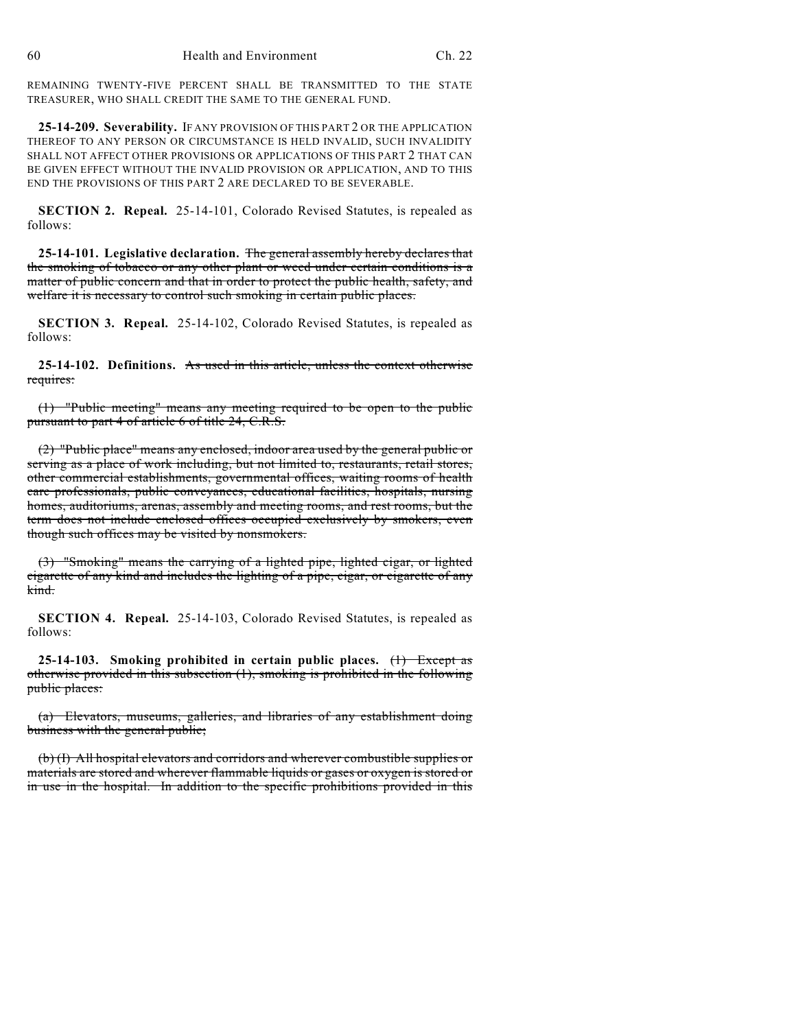REMAINING TWENTY-FIVE PERCENT SHALL BE TRANSMITTED TO THE STATE TREASURER, WHO SHALL CREDIT THE SAME TO THE GENERAL FUND.

**25-14-209. Severability.** IF ANY PROVISION OF THIS PART 2 OR THE APPLICATION THEREOF TO ANY PERSON OR CIRCUMSTANCE IS HELD INVALID, SUCH INVALIDITY SHALL NOT AFFECT OTHER PROVISIONS OR APPLICATIONS OF THIS PART 2 THAT CAN BE GIVEN EFFECT WITHOUT THE INVALID PROVISION OR APPLICATION, AND TO THIS END THE PROVISIONS OF THIS PART 2 ARE DECLARED TO BE SEVERABLE.

**SECTION 2. Repeal.** 25-14-101, Colorado Revised Statutes, is repealed as follows:

**25-14-101. Legislative declaration.** The general assembly hereby declares that the smoking of tobacco or any other plant or weed under certain conditions is a matter of public concern and that in order to protect the public health, safety, and welfare it is necessary to control such smoking in certain public places.

**SECTION 3. Repeal.** 25-14-102, Colorado Revised Statutes, is repealed as follows:

**25-14-102. Definitions.** As used in this article, unless the context otherwise requires:

(1) "Public meeting" means any meeting required to be open to the public pursuant to part 4 of article 6 of title 24, C.R.S.

(2) "Public place" means any enclosed, indoor area used by the general public or serving as a place of work including, but not limited to, restaurants, retail stores, other commercial establishments, governmental offices, waiting rooms of health care professionals, public conveyances, educational facilities, hospitals, nursing homes, auditoriums, arenas, assembly and meeting rooms, and rest rooms, but the term does not include enclosed offices occupied exclusively by smokers, even though such offices may be visited by nonsmokers.

(3) "Smoking" means the carrying of a lighted pipe, lighted cigar, or lighted cigarette of any kind and includes the lighting of a pipe, cigar, or cigarette of any kind.

**SECTION 4. Repeal.** 25-14-103, Colorado Revised Statutes, is repealed as follows:

**25-14-103. Smoking prohibited in certain public places.** (1) Except as otherwise provided in this subsection (1), smoking is prohibited in the following public places:

(a) Elevators, museums, galleries, and libraries of any establishment doing business with the general public;

(b) (I) All hospital elevators and corridors and wherever combustible supplies or materials are stored and wherever flammable liquids or gases or oxygen is stored or in use in the hospital. In addition to the specific prohibitions provided in this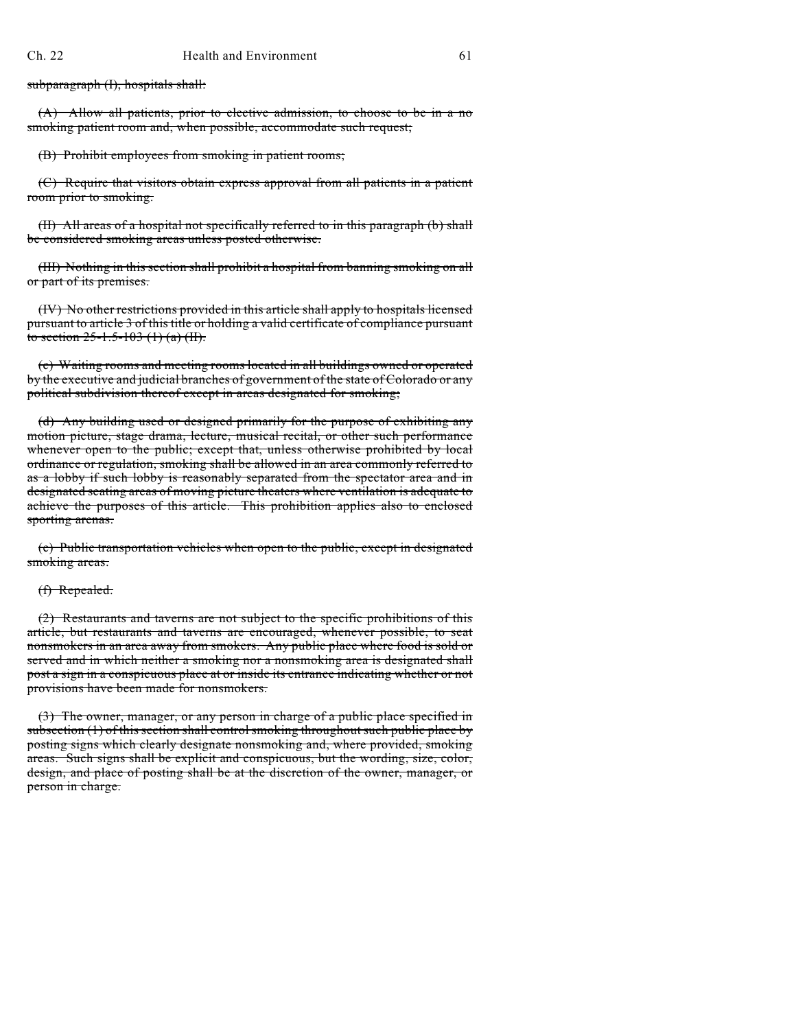subparagraph (I), hospitals shall:

(A) Allow all patients, prior to elective admission, to choose to be in a no smoking patient room and, when possible, accommodate such request;

(B) Prohibit employees from smoking in patient rooms;

(C) Require that visitors obtain express approval from all patients in a patient room prior to smoking.

(II) All areas of a hospital not specifically referred to in this paragraph (b) shall be considered smoking areas unless posted otherwise.

(III) Nothing in this section shall prohibit a hospital from banning smoking on all or part of its premises.

(IV) No other restrictions provided in this article shall apply to hospitals licensed pursuant to article 3 of this title or holding a valid certificate of compliance pursuant to section  $25-1.5-103$  (1) (a) (II).

(c) Waiting rooms and meeting rooms located in all buildings owned or operated by the executive and judicial branches of government of the state of Colorado or any political subdivision thereof except in areas designated for smoking;

(d) Any building used or designed primarily for the purpose of exhibiting any motion picture, stage drama, lecture, musical recital, or other such performance whenever open to the public; except that, unless otherwise prohibited by local ordinance or regulation, smoking shall be allowed in an area commonly referred to as a lobby if such lobby is reasonably separated from the spectator area and in designated seating areas of moving picture theaters where ventilation is adequate to achieve the purposes of this article. This prohibition applies also to enclosed sporting arenas.

(e) Public transportation vehicles when open to the public, except in designated smoking areas.

#### (f) Repealed.

(2) Restaurants and taverns are not subject to the specific prohibitions of this article, but restaurants and taverns are encouraged, whenever possible, to seat nonsmokers in an area away from smokers. Any public place where food is sold or served and in which neither a smoking nor a nonsmoking area is designated shall post a sign in a conspicuous place at or inside its entrance indicating whether or not provisions have been made for nonsmokers.

(3) The owner, manager, or any person in charge of a public place specified in subsection (1) of this section shall control smoking throughout such public place by posting signs which clearly designate nonsmoking and, where provided, smoking areas. Such signs shall be explicit and conspicuous, but the wording, size, color, design, and place of posting shall be at the discretion of the owner, manager, or person in charge.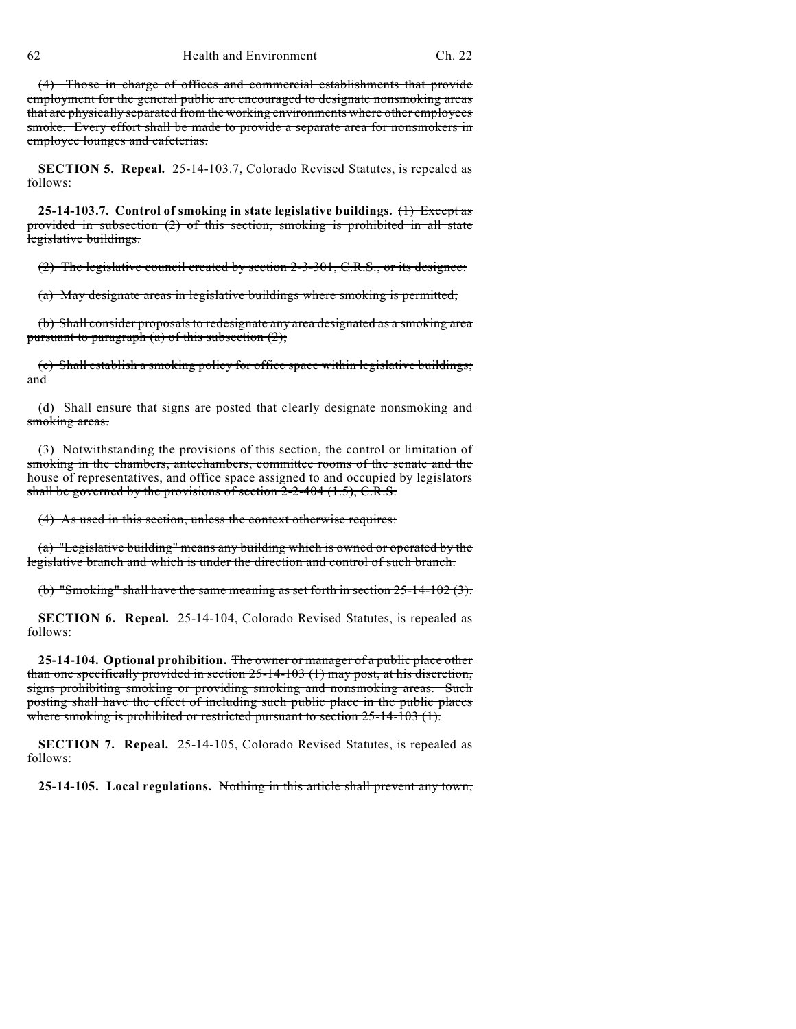(4) Those in charge of offices and commercial establishments that provide employment for the general public are encouraged to designate nonsmoking areas that are physically separated from the working environments where other employees smoke. Every effort shall be made to provide a separate area for nonsmokers in employee lounges and cafeterias.

**SECTION 5. Repeal.** 25-14-103.7, Colorado Revised Statutes, is repealed as follows:

**25-14-103.7. Control of smoking in state legislative buildings.** (1) Except as provided in subsection (2) of this section, smoking is prohibited in all state legislative buildings.

(2) The legislative council created by section 2-3-301, C.R.S., or its designee:

(a) May designate areas in legislative buildings where smoking is permitted;

(b) Shall consider proposals to redesignate any area designated as a smoking area pursuant to paragraph (a) of this subsection  $(2)$ ;

(c) Shall establish a smoking policy for office space within legislative buildings; and

(d) Shall ensure that signs are posted that clearly designate nonsmoking and smoking areas.

(3) Notwithstanding the provisions of this section, the control or limitation of smoking in the chambers, antechambers, committee rooms of the senate and the house of representatives, and office space assigned to and occupied by legislators shall be governed by the provisions of section  $2-2-404$  (1.5), C.R.S.

(4) As used in this section, unless the context otherwise requires:

(a) "Legislative building" means any building which is owned or operated by the legislative branch and which is under the direction and control of such branch.

(b) "Smoking" shall have the same meaning as set forth in section  $25-14-102$  (3).

**SECTION 6. Repeal.** 25-14-104, Colorado Revised Statutes, is repealed as follows:

**25-14-104. Optional prohibition.** The owner or manager of a public place other than one specifically provided in section 25-14-103 (1) may post, at his discretion, signs prohibiting smoking or providing smoking and nonsmoking areas. Such posting shall have the effect of including such public place in the public places where smoking is prohibited or restricted pursuant to section  $25-14-103$  (1).

**SECTION 7. Repeal.** 25-14-105, Colorado Revised Statutes, is repealed as follows:

**25-14-105. Local regulations.** Nothing in this article shall prevent any town,